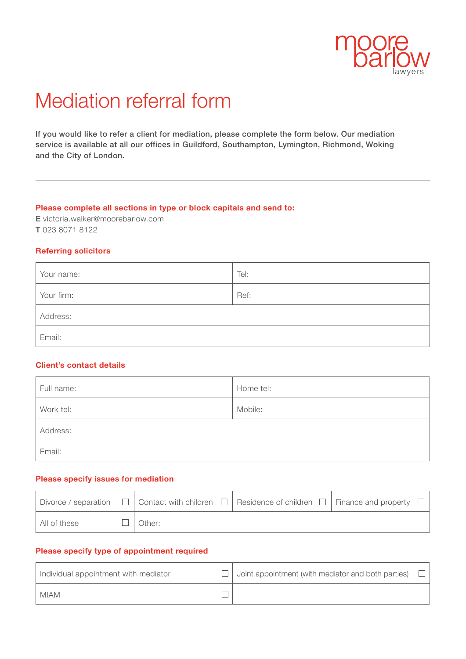

# Mediation referral form

If you would like to refer a client for mediation, please complete the form below. Our mediation service is available at all our offices in Guildford, Southampton, Lymington, Richmond, Woking and the City of London.

#### **Please complete all sections in type or block capitals and send to:**

E victoria.walker@moorebarlow.com T 023 8071 8122

#### **Referring solicitors**

| Your name: | Tel: |
|------------|------|
| Your firm: | Ref: |
| Address:   |      |
| Email:     |      |

# **Client's contact details**

| Full name: | Home tel: |
|------------|-----------|
| Work tel:  | Mobile:   |
| Address:   |           |
| Email:     |           |

## **Please specify issues for mediation**

|              |        | Divorce / separation $\Box$ Contact with children $\Box$ Residence of children $\Box$ Finance and property $\Box$ |  |
|--------------|--------|-------------------------------------------------------------------------------------------------------------------|--|
| All of these | Other: |                                                                                                                   |  |

#### **Please specify type of appointment required**

| Individual appointment with mediator | Joint appointment (with mediator and both parties) |  |
|--------------------------------------|----------------------------------------------------|--|
| <b>MIAM</b>                          |                                                    |  |